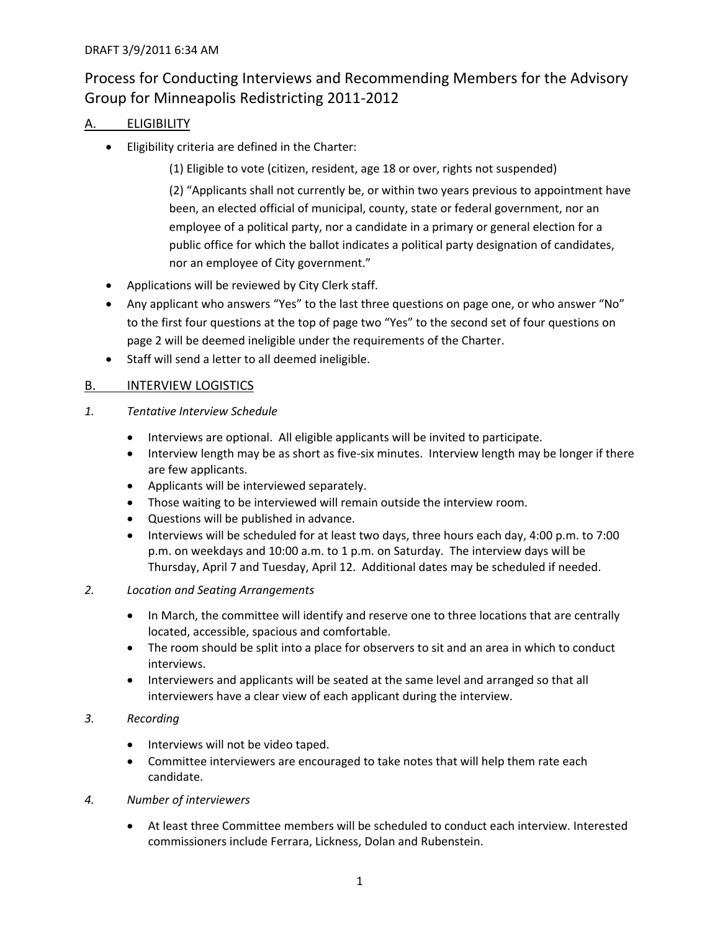## Process for Conducting Interviews and Recommending Members for the Advisory Group for Minneapolis Redistricting 2011‐2012

## A. ELIGIBILITY

• Eligibility criteria are defined in the Charter:

(1) Eligible to vote (citizen, resident, age 18 or over, rights not suspended)

(2) "Applicants shall not currently be, or within two years previous to appointment have been, an elected official of municipal, county, state or federal government, nor an employee of a political party, nor a candidate in a primary or general election for a public office for which the ballot indicates a political party designation of candidates, nor an employee of City government."

- Applications will be reviewed by City Clerk staff.
- Any applicant who answers "Yes" to the last three questions on page one, or who answer "No" to the first four questions at the top of page two "Yes" to the second set of four questions on page 2 will be deemed ineligible under the requirements of the Charter.
- Staff will send a letter to all deemed ineligible.

## B. INTERVIEW LOGISTICS

- *1. Tentative Interview Schedule*
	- Interviews are optional. All eligible applicants will be invited to participate.
	- Interview length may be as short as five-six minutes. Interview length may be longer if there are few applicants.
	- Applicants will be interviewed separately.
	- Those waiting to be interviewed will remain outside the interview room.
	- Questions will be published in advance.
	- Interviews will be scheduled for at least two days, three hours each day, 4:00 p.m. to 7:00 p.m. on weekdays and 10:00 a.m. to 1 p.m. on Saturday. The interview days will be Thursday, April 7 and Tuesday, April 12. Additional dates may be scheduled if needed.
- *2. Location and Seating Arrangements*
	- In March, the committee will identify and reserve one to three locations that are centrally located, accessible, spacious and comfortable.
	- The room should be split into a place for observers to sit and an area in which to conduct interviews.
	- Interviewers and applicants will be seated at the same level and arranged so that all interviewers have a clear view of each applicant during the interview.

## *3. Recording*

- Interviews will not be video taped.
- Committee interviewers are encouraged to take notes that will help them rate each candidate.
- *4. Number of interviewers*
	- At least three Committee members will be scheduled to conduct each interview. Interested commissioners include Ferrara, Lickness, Dolan and Rubenstein.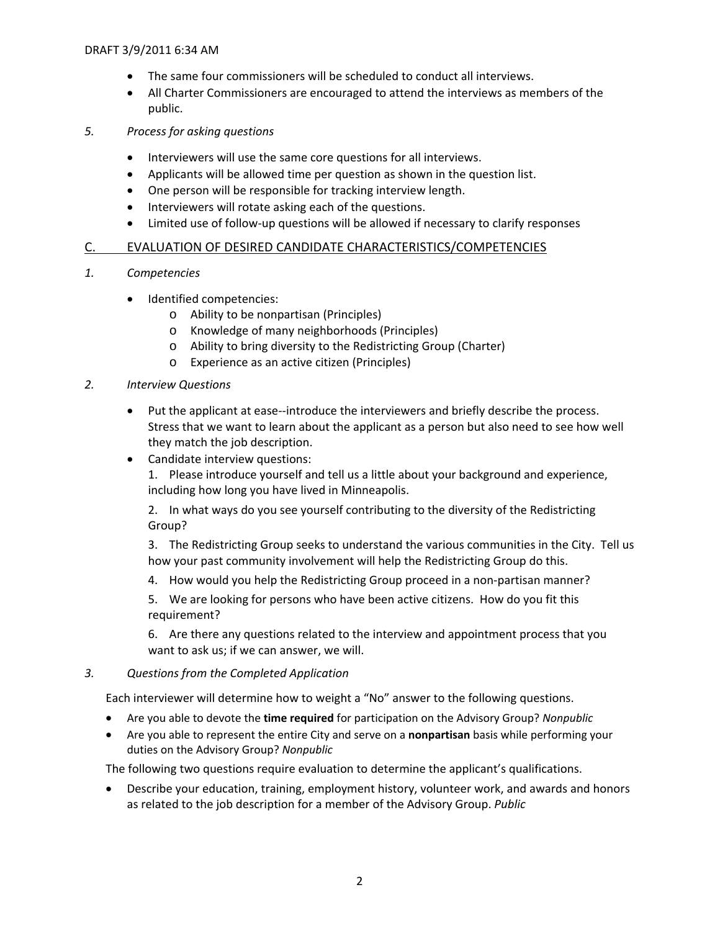- The same four commissioners will be scheduled to conduct all interviews.
- All Charter Commissioners are encouraged to attend the interviews as members of the public.
- *5. Process for asking questions*
	- Interviewers will use the same core questions for all interviews.
	- Applicants will be allowed time per question as shown in the question list.
	- One person will be responsible for tracking interview length.
	- Interviewers will rotate asking each of the questions.
	- Limited use of follow-up questions will be allowed if necessary to clarify responses

#### C. EVALUATION OF DESIRED CANDIDATE CHARACTERISTICS/COMPETENCIES

- *1. Competencies*
	- Identified competencies:
		- o Ability to be nonpartisan (Principles)
		- o Knowledge of many neighborhoods (Principles)
		- o Ability to bring diversity to the Redistricting Group (Charter)
		- o Experience as an active citizen (Principles)

#### *2. Interview Questions*

- Put the applicant at ease--introduce the interviewers and briefly describe the process. Stress that we want to learn about the applicant as a person but also need to see how well they match the job description.
- Candidate interview questions:

1. Please introduce yourself and tell us a little about your background and experience, including how long you have lived in Minneapolis.

2. In what ways do you see yourself contributing to the diversity of the Redistricting Group?

3. The Redistricting Group seeks to understand the various communities in the City. Tell us how your past community involvement will help the Redistricting Group do this.

4. How would you help the Redistricting Group proceed in a non-partisan manner?

5. We are looking for persons who have been active citizens. How do you fit this requirement?

6. Are there any questions related to the interview and appointment process that you want to ask us; if we can answer, we will.

#### *3. Questions from the Completed Application*

Each interviewer will determine how to weight a "No" answer to the following questions.

- Are you able to devote the **time required** for participation on the Advisory Group? *Nonpublic*
- Are you able to represent the entire City and serve on a **nonpartisan** basis while performing your duties on the Advisory Group? *Nonpublic*

The following two questions require evaluation to determine the applicant's qualifications.

• Describe your education, training, employment history, volunteer work, and awards and honors as related to the job description for a member of the Advisory Group. *Public*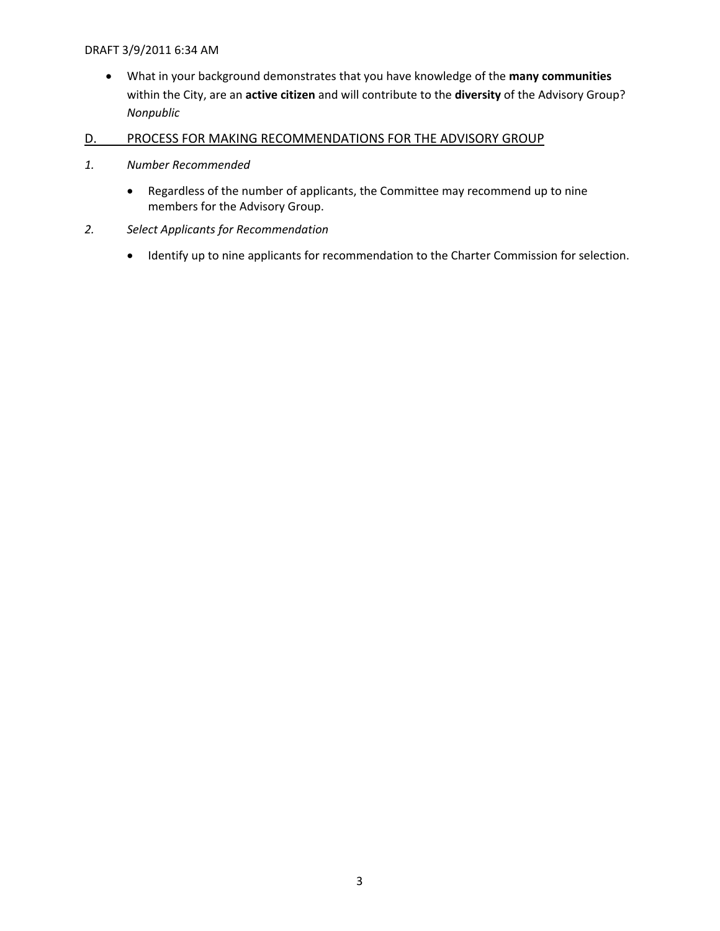- What in your background demonstrates that you have knowledge of the **many communities** within the City, are an **active citizen** and will contribute to the **diversity** of the Advisory Group? *Nonpublic*
- D. PROCESS FOR MAKING RECOMMENDATIONS FOR THE ADVISORY GROUP
- *1. Number Recommended*
	- Regardless of the number of applicants, the Committee may recommend up to nine members for the Advisory Group.
- *2. Select Applicants for Recommendation*
	- Identify up to nine applicants for recommendation to the Charter Commission for selection.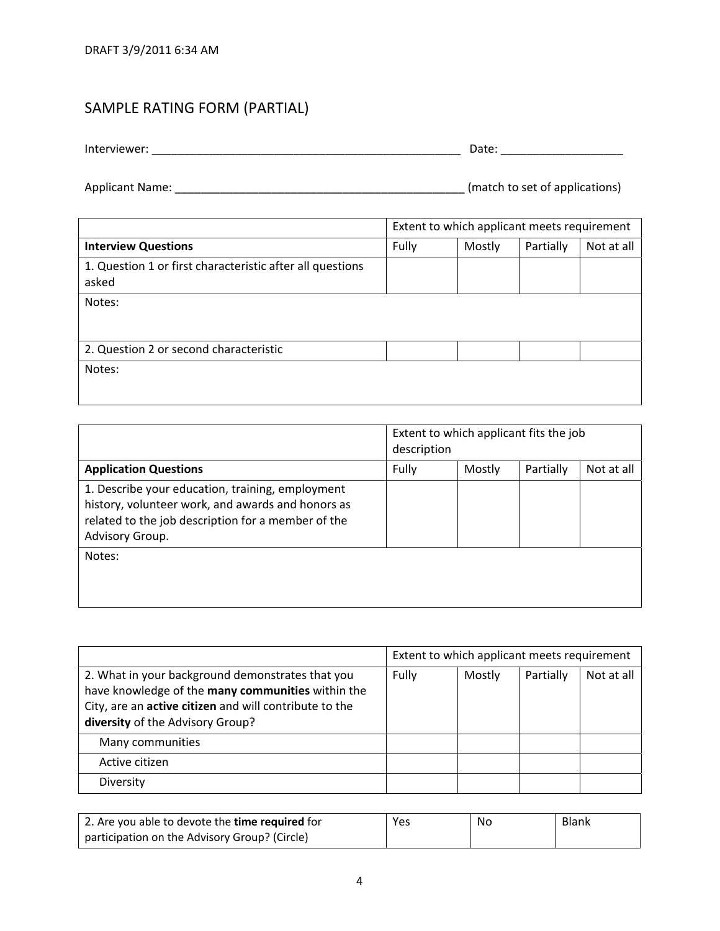# SAMPLE RATING FORM (PARTIAL)

|                                                           | Extent to which applicant meets requirement |        |           |            |
|-----------------------------------------------------------|---------------------------------------------|--------|-----------|------------|
| <b>Interview Questions</b>                                | Fully                                       | Mostly | Partially | Not at all |
| 1. Question 1 or first characteristic after all questions |                                             |        |           |            |
| asked                                                     |                                             |        |           |            |
| Notes:                                                    |                                             |        |           |            |
|                                                           |                                             |        |           |            |
|                                                           |                                             |        |           |            |
| 2. Question 2 or second characteristic                    |                                             |        |           |            |
| Notes:                                                    |                                             |        |           |            |
|                                                           |                                             |        |           |            |

|                                                                                                                                                                                | Extent to which applicant fits the job<br>description |        |           |            |
|--------------------------------------------------------------------------------------------------------------------------------------------------------------------------------|-------------------------------------------------------|--------|-----------|------------|
| <b>Application Questions</b>                                                                                                                                                   | Fully                                                 | Mostly | Partially | Not at all |
| 1. Describe your education, training, employment<br>history, volunteer work, and awards and honors as<br>related to the job description for a member of the<br>Advisory Group. |                                                       |        |           |            |
| Notes:                                                                                                                                                                         |                                                       |        |           |            |

|                                                                                                                                                                                                     | Extent to which applicant meets requirement |        |           |            |
|-----------------------------------------------------------------------------------------------------------------------------------------------------------------------------------------------------|---------------------------------------------|--------|-----------|------------|
| 2. What in your background demonstrates that you<br>have knowledge of the many communities within the<br>City, are an active citizen and will contribute to the<br>diversity of the Advisory Group? | Fully                                       | Mostly | Partially | Not at all |
| Many communities                                                                                                                                                                                    |                                             |        |           |            |
| Active citizen                                                                                                                                                                                      |                                             |        |           |            |
| Diversity                                                                                                                                                                                           |                                             |        |           |            |

| 2. Are you able to devote the <b>time required</b> for | Yes | No | Blank |
|--------------------------------------------------------|-----|----|-------|
| participation on the Advisory Group? (Circle)          |     |    |       |